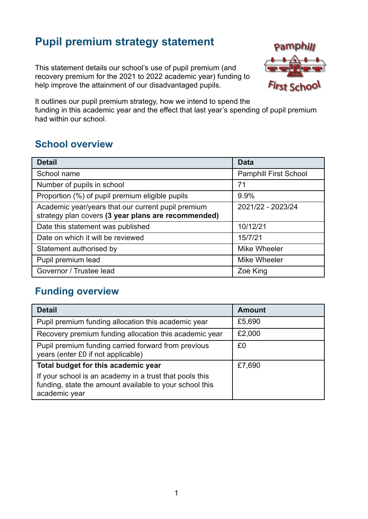## **Pupil premium strategy statement**

This statement details our school's use of pupil premium (and recovery premium for the 2021 to 2022 academic year) funding to help improve the attainment of our disadvantaged pupils.



It outlines our pupil premium strategy, how we intend to spend the funding in this academic year and the effect that last year's spending of pupil premium had within our school.

## **School overview**

| <b>Detail</b>                                                                                             | <b>Data</b>                  |
|-----------------------------------------------------------------------------------------------------------|------------------------------|
| School name                                                                                               | <b>Pamphill First School</b> |
| Number of pupils in school                                                                                | 71                           |
| Proportion (%) of pupil premium eligible pupils                                                           | 9.9%                         |
| Academic year/years that our current pupil premium<br>strategy plan covers (3 year plans are recommended) | 2021/22 - 2023/24            |
| Date this statement was published                                                                         | 10/12/21                     |
| Date on which it will be reviewed                                                                         | 15/7/21                      |
| Statement authorised by                                                                                   | Mike Wheeler                 |
| Pupil premium lead                                                                                        | Mike Wheeler                 |
| Governor / Trustee lead                                                                                   | Zoe King                     |

#### **Funding overview**

| <b>Detail</b>                                                                                                                       | <b>Amount</b> |
|-------------------------------------------------------------------------------------------------------------------------------------|---------------|
| Pupil premium funding allocation this academic year                                                                                 | £5,690        |
| Recovery premium funding allocation this academic year                                                                              | £2,000        |
| Pupil premium funding carried forward from previous<br>years (enter £0 if not applicable)                                           | £0            |
| Total budget for this academic year                                                                                                 | £7,690        |
| If your school is an academy in a trust that pools this<br>funding, state the amount available to your school this<br>academic year |               |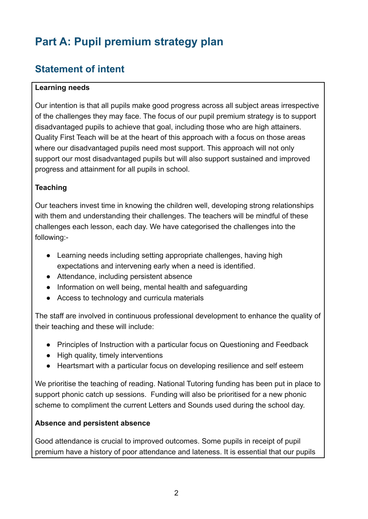# **Part A: Pupil premium strategy plan**

### **Statement of intent**

#### **Learning needs**

Our intention is that all pupils make good progress across all subject areas irrespective of the challenges they may face. The focus of our pupil premium strategy is to support disadvantaged pupils to achieve that goal, including those who are high attainers. Quality First Teach will be at the heart of this approach with a focus on those areas where our disadvantaged pupils need most support. This approach will not only support our most disadvantaged pupils but will also support sustained and improved progress and attainment for all pupils in school.

#### **Teaching**

Our teachers invest time in knowing the children well, developing strong relationships with them and understanding their challenges. The teachers will be mindful of these challenges each lesson, each day. We have categorised the challenges into the following:-

- Learning needs including setting appropriate challenges, having high expectations and intervening early when a need is identified.
- Attendance, including persistent absence
- Information on well being, mental health and safeguarding
- Access to technology and curricula materials

The staff are involved in continuous professional development to enhance the quality of their teaching and these will include:

- Principles of Instruction with a particular focus on Questioning and Feedback
- High quality, timely interventions
- Heartsmart with a particular focus on developing resilience and self esteem

We prioritise the teaching of reading. National Tutoring funding has been put in place to support phonic catch up sessions. Funding will also be prioritised for a new phonic scheme to compliment the current Letters and Sounds used during the school day.

#### **Absence and persistent absence**

Good attendance is crucial to improved outcomes. Some pupils in receipt of pupil premium have a history of poor attendance and lateness. It is essential that our pupils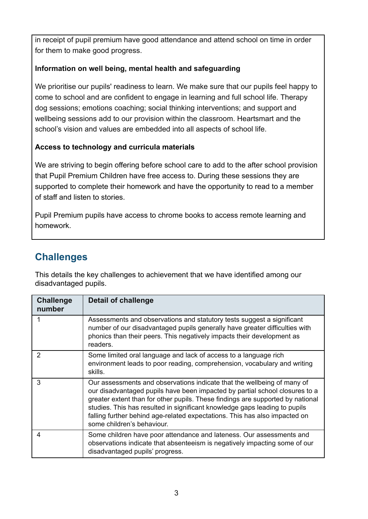in receipt of pupil premium have good attendance and attend school on time in order for them to make good progress.

#### **Information on well being, mental health and safeguarding**

We prioritise our pupils' readiness to learn. We make sure that our pupils feel happy to come to school and are confident to engage in learning and full school life. Therapy dog sessions; emotions coaching; social thinking interventions; and support and wellbeing sessions add to our provision within the classroom. Heartsmart and the school's vision and values are embedded into all aspects of school life.

#### **Access to technology and curricula materials**

We are striving to begin offering before school care to add to the after school provision that Pupil Premium Children have free access to. During these sessions they are supported to complete their homework and have the opportunity to read to a member of staff and listen to stories.

Pupil Premium pupils have access to chrome books to access remote learning and homework.

## **Challenges**

This details the key challenges to achievement that we have identified among our disadvantaged pupils.

| <b>Challenge</b><br>number | <b>Detail of challenge</b>                                                                                                                                                                                                                                                                                                                                                                                                         |
|----------------------------|------------------------------------------------------------------------------------------------------------------------------------------------------------------------------------------------------------------------------------------------------------------------------------------------------------------------------------------------------------------------------------------------------------------------------------|
|                            | Assessments and observations and statutory tests suggest a significant<br>number of our disadvantaged pupils generally have greater difficulties with<br>phonics than their peers. This negatively impacts their development as<br>readers.                                                                                                                                                                                        |
| 2                          | Some limited oral language and lack of access to a language rich<br>environment leads to poor reading, comprehension, vocabulary and writing<br>skills.                                                                                                                                                                                                                                                                            |
| 3                          | Our assessments and observations indicate that the wellbeing of many of<br>our disadvantaged pupils have been impacted by partial school closures to a<br>greater extent than for other pupils. These findings are supported by national<br>studies. This has resulted in significant knowledge gaps leading to pupils<br>falling further behind age-related expectations. This has also impacted on<br>some children's behaviour. |
| 4                          | Some children have poor attendance and lateness. Our assessments and<br>observations indicate that absenteeism is negatively impacting some of our<br>disadvantaged pupils' progress.                                                                                                                                                                                                                                              |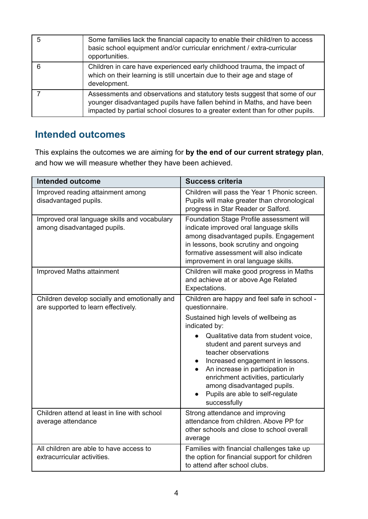| 5 | Some families lack the financial capacity to enable their child/ren to access<br>basic school equipment and/or curricular enrichment / extra-curricular<br>opportunities.                                                              |
|---|----------------------------------------------------------------------------------------------------------------------------------------------------------------------------------------------------------------------------------------|
| 6 | Children in care have experienced early childhood trauma, the impact of<br>which on their learning is still uncertain due to their age and stage of<br>development.                                                                    |
|   | Assessments and observations and statutory tests suggest that some of our<br>younger disadvantaged pupils have fallen behind in Maths, and have been<br>impacted by partial school closures to a greater extent than for other pupils. |

### **Intended outcomes**

This explains the outcomes we are aiming for **by the end of our current strategy plan**, and how we will measure whether they have been achieved.

| <b>Intended outcome</b>                                                              | <b>Success criteria</b>                                                                                                                                                                                                                                                                                                                                                                                                     |
|--------------------------------------------------------------------------------------|-----------------------------------------------------------------------------------------------------------------------------------------------------------------------------------------------------------------------------------------------------------------------------------------------------------------------------------------------------------------------------------------------------------------------------|
| Improved reading attainment among<br>disadvantaged pupils.                           | Children will pass the Year 1 Phonic screen.<br>Pupils will make greater than chronological<br>progress in Star Reader or Salford.                                                                                                                                                                                                                                                                                          |
| Improved oral language skills and vocabulary<br>among disadvantaged pupils.          | Foundation Stage Profile assessment will<br>indicate improved oral language skills<br>among disadvantaged pupils. Engagement<br>in lessons, book scrutiny and ongoing<br>formative assessment will also indicate<br>improvement in oral language skills.                                                                                                                                                                    |
| Improved Maths attainment                                                            | Children will make good progress in Maths<br>and achieve at or above Age Related<br>Expectations.                                                                                                                                                                                                                                                                                                                           |
| Children develop socially and emotionally and<br>are supported to learn effectively. | Children are happy and feel safe in school -<br>questionnaire.<br>Sustained high levels of wellbeing as<br>indicated by:<br>Qualitative data from student voice,<br>student and parent surveys and<br>teacher observations<br>Increased engagement in lessons.<br>An increase in participation in<br>enrichment activities, particularly<br>among disadvantaged pupils.<br>Pupils are able to self-regulate<br>successfully |
| Children attend at least in line with school<br>average attendance                   | Strong attendance and improving<br>attendance from children. Above PP for<br>other schools and close to school overall<br>average                                                                                                                                                                                                                                                                                           |
| All children are able to have access to<br>extracurricular activities.               | Families with financial challenges take up<br>the option for financial support for children<br>to attend after school clubs.                                                                                                                                                                                                                                                                                                |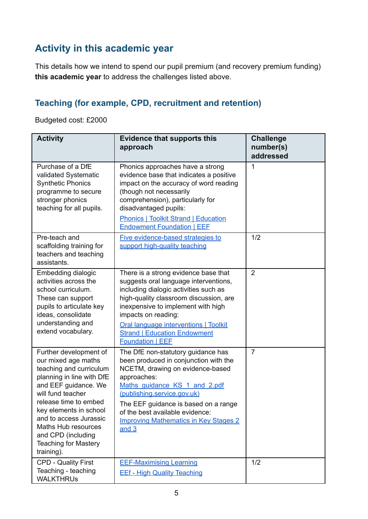## **Activity in this academic year**

This details how we intend to spend our pupil premium (and recovery premium funding) **this academic year** to address the challenges listed above.

#### **Teaching (for example, CPD, recruitment and retention)**

Budgeted cost: £2000

| <b>Activity</b>                                                                                                                                                                                                                                                                                                           | <b>Evidence that supports this</b><br>approach                                                                                                                                                                                                                                                                                           | <b>Challenge</b><br>number(s)<br>addressed |
|---------------------------------------------------------------------------------------------------------------------------------------------------------------------------------------------------------------------------------------------------------------------------------------------------------------------------|------------------------------------------------------------------------------------------------------------------------------------------------------------------------------------------------------------------------------------------------------------------------------------------------------------------------------------------|--------------------------------------------|
| Purchase of a DfE<br>validated Systematic<br><b>Synthetic Phonics</b><br>programme to secure<br>stronger phonics<br>teaching for all pupils.                                                                                                                                                                              | Phonics approaches have a strong<br>evidence base that indicates a positive<br>impact on the accuracy of word reading<br>(though not necessarily<br>comprehension), particularly for<br>disadvantaged pupils:<br><b>Phonics   Toolkit Strand   Education</b><br><b>Endowment Foundation I EEF</b>                                        | 1                                          |
| Pre-teach and<br>scaffolding training for<br>teachers and teaching<br>assistants.                                                                                                                                                                                                                                         | Five evidence-based strategies to<br>support high-quality teaching                                                                                                                                                                                                                                                                       | 1/2                                        |
| Embedding dialogic<br>activities across the<br>school curriculum.<br>These can support<br>pupils to articulate key<br>ideas, consolidate<br>understanding and<br>extend vocabulary.                                                                                                                                       | There is a strong evidence base that<br>suggests oral language interventions,<br>including dialogic activities such as<br>high-quality classroom discussion, are<br>inexpensive to implement with high<br>impacts on reading:<br>Oral language interventions   Toolkit<br><b>Strand   Education Endowment</b><br><b>Foundation   EEE</b> | $\overline{2}$                             |
| Further development of<br>our mixed age maths<br>teaching and curriculum<br>planning in line with DfE<br>and EEF guidance. We<br>will fund teacher<br>release time to embed<br>key elements in school<br>and to access Jurassic<br>Maths Hub resources<br>and CPD (including<br><b>Teaching for Mastery</b><br>training). | The DfE non-statutory guidance has<br>been produced in conjunction with the<br>NCETM, drawing on evidence-based<br>approaches:<br>Maths guidance KS 1 and 2.pdf<br>(publishing.service.gov.uk)<br>The EEF guidance is based on a range<br>of the best available evidence:<br><b>Improving Mathematics in Key Stages 2</b><br>and $3$     | $\overline{7}$                             |
| <b>CPD - Quality First</b><br>Teaching - teaching<br><b>WALKTHRUS</b>                                                                                                                                                                                                                                                     | <b>EEF-Maximising Learning</b><br><b>EEf - High Quality Teaching</b>                                                                                                                                                                                                                                                                     | 1/2                                        |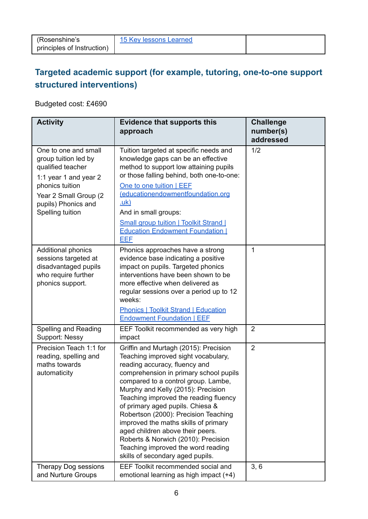### **Targeted academic support (for example, tutoring, one-to-one support structured interventions)**

Budgeted cost: £4690

| <b>Activity</b>                                                                                                                                                                   | <b>Evidence that supports this</b><br>approach                                                                                                                                                                                                                                                                                                                                                                                                                                                                                                         | <b>Challenge</b><br>number(s)<br>addressed |
|-----------------------------------------------------------------------------------------------------------------------------------------------------------------------------------|--------------------------------------------------------------------------------------------------------------------------------------------------------------------------------------------------------------------------------------------------------------------------------------------------------------------------------------------------------------------------------------------------------------------------------------------------------------------------------------------------------------------------------------------------------|--------------------------------------------|
| One to one and small<br>group tuition led by<br>qualified teacher<br>1:1 year 1 and year 2<br>phonics tuition<br>Year 2 Small Group (2<br>pupils) Phonics and<br>Spelling tuition | Tuition targeted at specific needs and<br>knowledge gaps can be an effective<br>method to support low attaining pupils<br>or those falling behind, both one-to-one:<br>One to one tuition   EEF<br>(educationendowmentfoundation.org<br><u>.uk)</u><br>And in small groups:<br><b>Small group tuition   Toolkit Strand  </b><br><b>Education Endowment Foundation  </b><br><b>EEF</b>                                                                                                                                                                  | 1/2                                        |
| Additional phonics<br>sessions targeted at<br>disadvantaged pupils<br>who require further<br>phonics support.                                                                     | Phonics approaches have a strong<br>evidence base indicating a positive<br>impact on pupils. Targeted phonics<br>interventions have been shown to be<br>more effective when delivered as<br>regular sessions over a period up to 12<br>weeks:<br><b>Phonics   Toolkit Strand   Education</b><br><b>Endowment Foundation   EEF</b>                                                                                                                                                                                                                      | 1                                          |
| Spelling and Reading<br>Support: Nessy                                                                                                                                            | EEF Toolkit recommended as very high<br>impact                                                                                                                                                                                                                                                                                                                                                                                                                                                                                                         | $\overline{2}$                             |
| Precision Teach 1:1 for<br>reading, spelling and<br>maths towards<br>automaticity                                                                                                 | Griffin and Murtagh (2015): Precision<br>Teaching improved sight vocabulary,<br>reading accuracy, fluency and<br>comprehension in primary school pupils<br>compared to a control group. Lambe,<br>Murphy and Kelly (2015): Precision<br>Teaching improved the reading fluency<br>of primary aged pupils. Chiesa &<br>Robertson (2000): Precision Teaching<br>improved the maths skills of primary<br>aged children above their peers.<br>Roberts & Norwich (2010): Precision<br>Teaching improved the word reading<br>skills of secondary aged pupils. | $\overline{2}$                             |
| Therapy Dog sessions<br>and Nurture Groups                                                                                                                                        | EEF Toolkit recommended social and<br>emotional learning as high impact (+4)                                                                                                                                                                                                                                                                                                                                                                                                                                                                           | 3, 6                                       |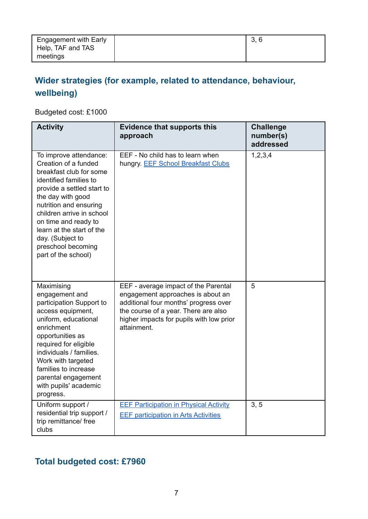| <b>Engagement with Early</b> | 3, 6 |
|------------------------------|------|
| Help, TAF and TAS            |      |
| meetings                     |      |

## **Wider strategies (for example, related to attendance, behaviour, wellbeing)**

Budgeted cost: £1000

| <b>Activity</b>                                                                                                                                                                                                                                                                                                                     | <b>Evidence that supports this</b><br>approach                                                                                                                                                                        | <b>Challenge</b><br>number(s)<br>addressed |
|-------------------------------------------------------------------------------------------------------------------------------------------------------------------------------------------------------------------------------------------------------------------------------------------------------------------------------------|-----------------------------------------------------------------------------------------------------------------------------------------------------------------------------------------------------------------------|--------------------------------------------|
| To improve attendance:<br>Creation of a funded<br>breakfast club for some<br>identified families to<br>provide a settled start to<br>the day with good<br>nutrition and ensuring<br>children arrive in school<br>on time and ready to<br>learn at the start of the<br>day. (Subject to<br>preschool becoming<br>part of the school) | EEF - No child has to learn when<br>hungry. EEF School Breakfast Clubs                                                                                                                                                | 1, 2, 3, 4                                 |
| Maximising<br>engagement and<br>participation Support to<br>access equipment,<br>uniform, educational<br>enrichment<br>opportunities as<br>required for eligible<br>individuals / families.<br>Work with targeted<br>families to increase<br>parental engagement<br>with pupils' academic<br>progress.                              | EEF - average impact of the Parental<br>engagement approaches is about an<br>additional four months' progress over<br>the course of a year. There are also<br>higher impacts for pupils with low prior<br>attainment. | 5                                          |
| Uniform support /<br>residential trip support /<br>trip remittance/ free<br>clubs                                                                                                                                                                                                                                                   | <b>EEF Participation in Physical Activity</b><br><b>EEF participation in Arts Activities</b>                                                                                                                          | 3, 5                                       |

### **Total budgeted cost: £7960**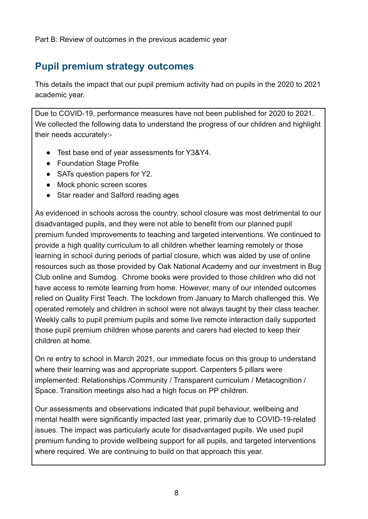Part B: Review of outcomes in the previous academic year

### **Pupil premium strategy outcomes**

This details the impact that our pupil premium activity had on pupils in the 2020 to 2021 academic year.

Due to COVID-19, performance measures have not been published for 2020 to 2021. We collected the following data to understand the progress of our children and highlight their needs accurately:-

- Test base end of year assessments for Y3&Y4.
- Foundation Stage Profile
- SATs question papers for Y2.
- Mock phonic screen scores
- Star reader and Salford reading ages

As evidenced in schools across the country, school closure was most detrimental to our disadvantaged pupils, and they were not able to benefit from our planned pupil premium funded improvements to teaching and targeted interventions. We continued to provide a high quality curriculum to all children whether learning remotely or those learning in school during periods of partial closure, which was aided by use of online resources such as those provided by Oak National Academy and our investment in Bug Club online and Sumdog. Chrome books were provided to those children who did not have access to remote learning from home. However, many of our intended outcomes relied on Quality First Teach. The lockdown from January to March challenged this. We operated remotely and children in school were not always taught by their class teacher. Weekly calls to pupil premium pupils and some live remote interaction daily supported those pupil premium children whose parents and carers had elected to keep their children at home.

On re entry to school in March 2021, our immediate focus on this group to understand where their learning was and appropriate support. Carpenters 5 pillars were implemented: Relationships /Community / Transparent curriculum / Metacognition / Space. Transition meetings also had a high focus on PP children.

Our assessments and observations indicated that pupil behaviour, wellbeing and mental health were significantly impacted last year, primarily due to COVID-19-related issues. The impact was particularly acute for disadvantaged pupils. We used pupil premium funding to provide wellbeing support for all pupils, and targeted interventions where required. We are continuing to build on that approach this year.